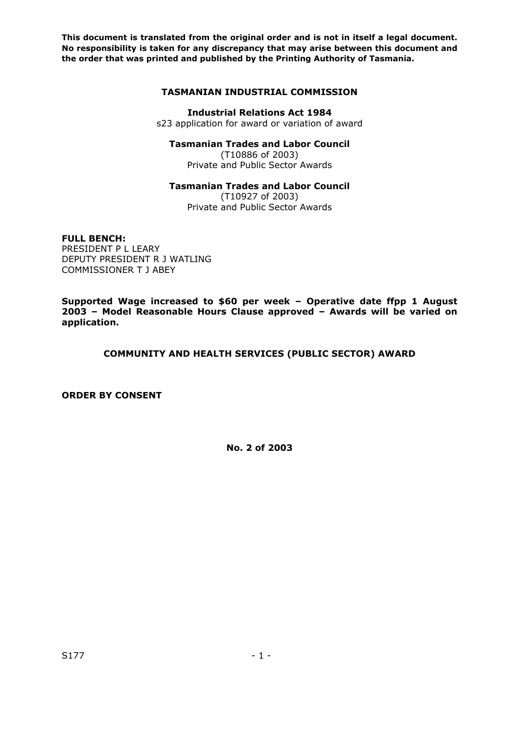## **TASMANIAN INDUSTRIAL COMMISSION**

# **Industrial Relations Act 1984**

s23 application for award or variation of award

## **Tasmanian Trades and Labor Council**

(T10886 of 2003) Private and Public Sector Awards

## **Tasmanian Trades and Labor Council**

(T10927 of 2003) Private and Public Sector Awards

## **FULL BENCH:**

PRESIDENT P L LEARY DEPUTY PRESIDENT R J WATLING COMMISSIONER T J ABEY

**Supported Wage increased to \$60 per week – Operative date ffpp 1 August 2003 – Model Reasonable Hours Clause approved – Awards will be varied on application.** 

## **COMMUNITY AND HEALTH SERVICES (PUBLIC SECTOR) AWARD**

**ORDER BY CONSENT**

**No. 2 of 2003**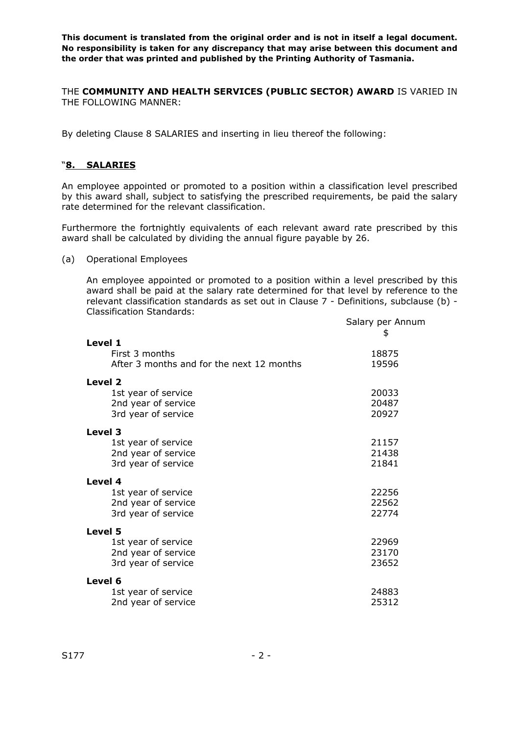THE **COMMUNITY AND HEALTH SERVICES (PUBLIC SECTOR) AWARD** IS VARIED IN THE FOLLOWING MANNER:

By deleting Clause 8 SALARIES and inserting in lieu thereof the following:

## "**8. SALARIES**

An employee appointed or promoted to a position within a classification level prescribed by this award shall, subject to satisfying the prescribed requirements, be paid the salary rate determined for the relevant classification.

Furthermore the fortnightly equivalents of each relevant award rate prescribed by this award shall be calculated by dividing the annual figure payable by 26.

#### (a) Operational Employees

An employee appointed or promoted to a position within a level prescribed by this award shall be paid at the salary rate determined for that level by reference to the relevant classification standards as set out in Clause 7 - Definitions, subclause (b) - Classification Standards:

|                                           | Salary per Annum<br>\$ |
|-------------------------------------------|------------------------|
| Level 1                                   |                        |
| First 3 months                            | 18875                  |
| After 3 months and for the next 12 months | 19596                  |
| Level <sub>2</sub>                        |                        |
| 1st year of service                       | 20033                  |
| 2nd year of service                       | 20487                  |
| 3rd year of service                       | 20927                  |
| Level 3                                   |                        |
| 1st year of service                       | 21157                  |
| 2nd year of service                       | 21438                  |
| 3rd year of service                       | 21841                  |
| Level 4                                   |                        |
| 1st year of service                       | 22256                  |
| 2nd year of service                       | 22562                  |
| 3rd year of service                       | 22774                  |
| Level 5                                   |                        |
| 1st year of service                       | 22969                  |
| 2nd year of service                       | 23170                  |
| 3rd year of service                       | 23652                  |
| Level 6                                   |                        |
| 1st year of service                       | 24883                  |
| 2nd year of service                       | 25312                  |
|                                           |                        |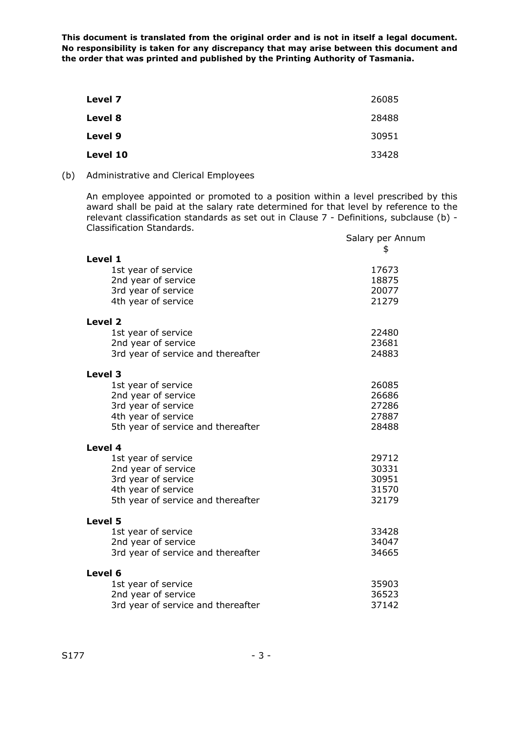| 26085 |
|-------|
| 28488 |
| 30951 |
| 33428 |
|       |

(b) Administrative and Clerical Employees

An employee appointed or promoted to a position within a level prescribed by this award shall be paid at the salary rate determined for that level by reference to the relevant classification standards as set out in Clause 7 - Definitions, subclause (b) - Classification Standards.

|                                            | Salary per Annum |
|--------------------------------------------|------------------|
|                                            | \$               |
| Level 1                                    |                  |
| 1st year of service<br>2nd year of service | 17673<br>18875   |
| 3rd year of service                        | 20077            |
| 4th year of service                        | 21279            |
| Level 2                                    |                  |
| 1st year of service                        | 22480            |
| 2nd year of service                        | 23681            |
| 3rd year of service and thereafter         | 24883            |
| Level 3                                    |                  |
| 1st year of service                        | 26085            |
| 2nd year of service                        | 26686            |
| 3rd year of service                        | 27286            |
| 4th year of service                        | 27887            |
| 5th year of service and thereafter         | 28488            |
| Level 4                                    |                  |
| 1st year of service                        | 29712            |
| 2nd year of service                        | 30331            |
| 3rd year of service                        | 30951            |
| 4th year of service                        | 31570            |
| 5th year of service and thereafter         | 32179            |
| Level 5                                    |                  |
| 1st year of service                        | 33428            |
| 2nd year of service                        | 34047            |
| 3rd year of service and thereafter         | 34665            |
| Level 6                                    |                  |
| 1st year of service                        | 35903            |
| 2nd year of service                        | 36523            |
| 3rd year of service and thereafter         | 37142            |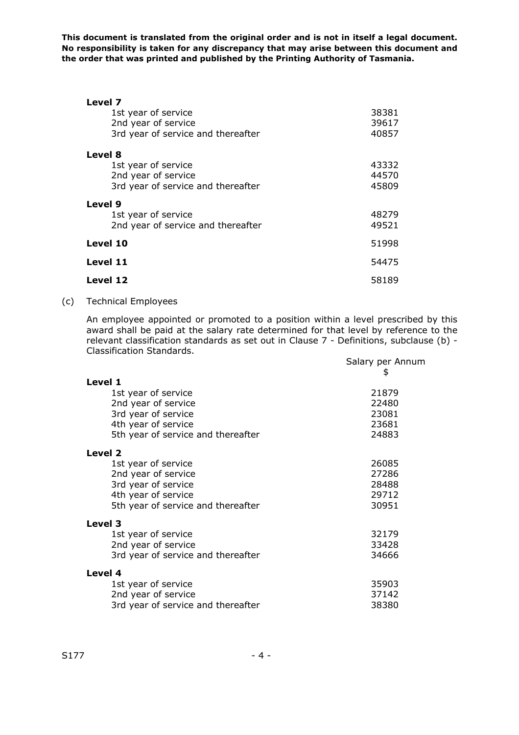| Level 7                            |       |
|------------------------------------|-------|
| 1st year of service                | 38381 |
| 2nd year of service                | 39617 |
| 3rd year of service and thereafter | 40857 |
| Level 8                            |       |
| 1st year of service                | 43332 |
| 2nd year of service                | 44570 |
| 3rd year of service and thereafter | 45809 |
| Level 9                            |       |
| 1st year of service                | 48279 |
| 2nd year of service and thereafter | 49521 |
| Level 10                           | 51998 |
| Level 11                           | 54475 |
| Level 12                           | 58189 |

## (c) Technical Employees

An employee appointed or promoted to a position within a level prescribed by this award shall be paid at the salary rate determined for that level by reference to the relevant classification standards as set out in Clause 7 - Definitions, subclause (b) - Classification Standards.

|                                    | Salary per Annum<br>\$ |
|------------------------------------|------------------------|
| Level 1                            |                        |
| 1st year of service                | 21879                  |
| 2nd year of service                | 22480                  |
| 3rd year of service                | 23081                  |
| 4th year of service                | 23681                  |
| 5th year of service and thereafter | 24883                  |
| Level 2                            |                        |
| 1st year of service                | 26085                  |
| 2nd year of service                | 27286                  |
| 3rd year of service                | 28488                  |
| 4th year of service                | 29712                  |
| 5th year of service and thereafter | 30951                  |
| Level 3                            |                        |
| 1st year of service                | 32179                  |
| 2nd year of service                | 33428                  |
| 3rd year of service and thereafter | 34666                  |
| Level 4                            |                        |
| 1st year of service                | 35903                  |
| 2nd year of service                | 37142                  |
| 3rd year of service and thereafter | 38380                  |
|                                    |                        |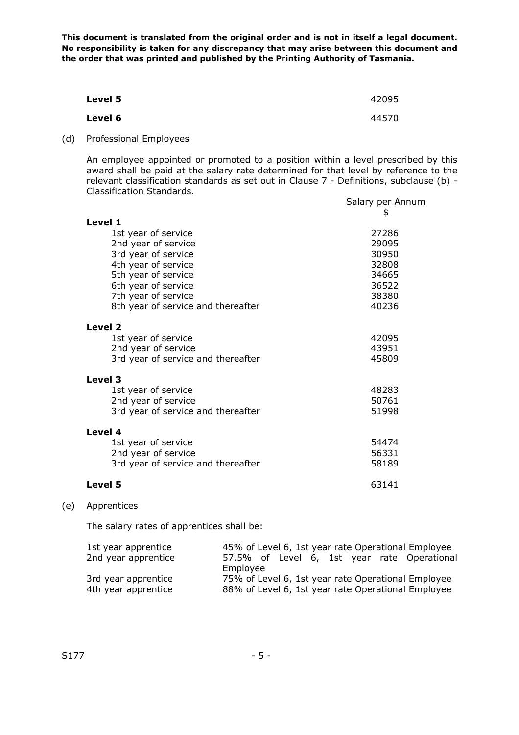| Level 5 | 42095 |
|---------|-------|
| Level 6 | 44570 |

(d) Professional Employees

An employee appointed or promoted to a position within a level prescribed by this award shall be paid at the salary rate determined for that level by reference to the relevant classification standards as set out in Clause 7 - Definitions, subclause (b) - Classification Standards.

|                                    | Salary per Annum<br>\$ |
|------------------------------------|------------------------|
| Level 1                            |                        |
| 1st year of service                | 27286                  |
| 2nd year of service                | 29095                  |
| 3rd year of service                | 30950                  |
| 4th year of service                | 32808                  |
| 5th year of service                | 34665                  |
| 6th year of service                | 36522                  |
| 7th year of service                | 38380                  |
| 8th year of service and thereafter | 40236                  |
| Level 2                            |                        |
| 1st year of service                | 42095                  |
| 2nd year of service                | 43951                  |
| 3rd year of service and thereafter | 45809                  |
| Level 3                            |                        |
| 1st year of service                | 48283                  |
| 2nd year of service                | 50761                  |
| 3rd year of service and thereafter | 51998                  |
| Level 4                            |                        |
| 1st year of service                | 54474                  |
| 2nd year of service                | 56331                  |
| 3rd year of service and thereafter | 58189                  |
| Level 5                            | 63141                  |

## (e) Apprentices

The salary rates of apprentices shall be:

| 1st year apprentice | 45% of Level 6, 1st year rate Operational Employee |
|---------------------|----------------------------------------------------|
| 2nd year apprentice | 57.5% of Level 6, 1st year rate Operational        |
|                     | Employee                                           |
| 3rd year apprentice | 75% of Level 6, 1st year rate Operational Employee |
| 4th year apprentice | 88% of Level 6, 1st year rate Operational Employee |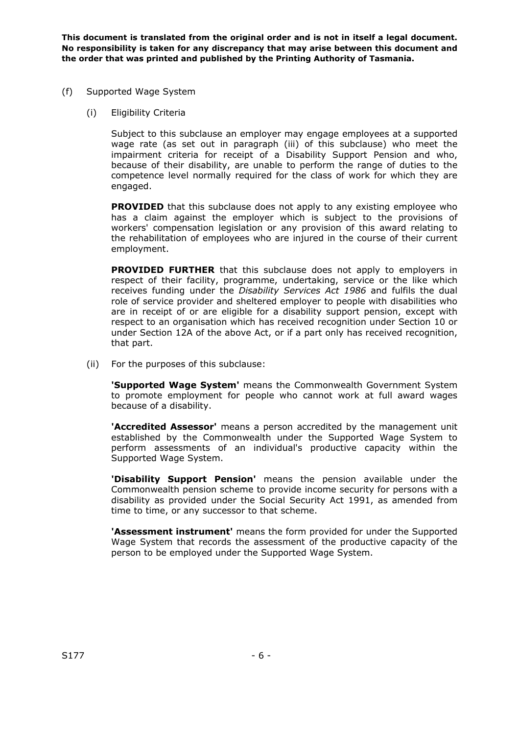- (f) Supported Wage System
	- (i) Eligibility Criteria

Subject to this subclause an employer may engage employees at a supported wage rate (as set out in paragraph (iii) of this subclause) who meet the impairment criteria for receipt of a Disability Support Pension and who, because of their disability, are unable to perform the range of duties to the competence level normally required for the class of work for which they are engaged.

**PROVIDED** that this subclause does not apply to any existing employee who has a claim against the employer which is subject to the provisions of workers' compensation legislation or any provision of this award relating to the rehabilitation of employees who are injured in the course of their current employment.

**PROVIDED FURTHER** that this subclause does not apply to employers in respect of their facility, programme, undertaking, service or the like which receives funding under the *Disability Services Act 1986* and fulfils the dual role of service provider and sheltered employer to people with disabilities who are in receipt of or are eligible for a disability support pension, except with respect to an organisation which has received recognition under Section 10 or under Section 12A of the above Act, or if a part only has received recognition, that part.

(ii) For the purposes of this subclause:

 **'Supported Wage System'** means the Commonwealth Government System to promote employment for people who cannot work at full award wages because of a disability.

 **'Accredited Assessor'** means a person accredited by the management unit established by the Commonwealth under the Supported Wage System to perform assessments of an individual's productive capacity within the Supported Wage System.

 **'Disability Support Pension'** means the pension available under the Commonwealth pension scheme to provide income security for persons with a disability as provided under the Social Security Act 1991, as amended from time to time, or any successor to that scheme.

 **'Assessment instrument'** means the form provided for under the Supported Wage System that records the assessment of the productive capacity of the person to be employed under the Supported Wage System.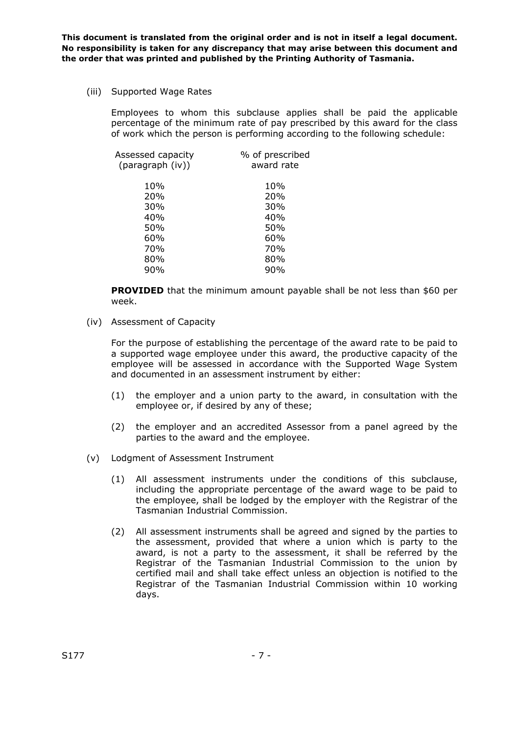(iii) Supported Wage Rates

Employees to whom this subclause applies shall be paid the applicable percentage of the minimum rate of pay prescribed by this award for the class of work which the person is performing according to the following schedule:

| Assessed capacity<br>(paragraph (iv)) | % of prescribed<br>award rate |
|---------------------------------------|-------------------------------|
| 10%                                   | 10%                           |
| <b>20%</b>                            | 20%                           |
| 30%                                   | 30%                           |
| 40%                                   | 40%                           |
| 50%                                   | 50%                           |
| 60%                                   | 60%                           |
| 70%                                   | 70%                           |
| 80%                                   | 80%                           |
| 90%                                   | 90%                           |
|                                       |                               |

**PROVIDED** that the minimum amount payable shall be not less than \$60 per week.

(iv) Assessment of Capacity

For the purpose of establishing the percentage of the award rate to be paid to a supported wage employee under this award, the productive capacity of the employee will be assessed in accordance with the Supported Wage System and documented in an assessment instrument by either:

- (1) the employer and a union party to the award, in consultation with the employee or, if desired by any of these;
- (2) the employer and an accredited Assessor from a panel agreed by the parties to the award and the employee.
- (v) Lodgment of Assessment Instrument
	- (1) All assessment instruments under the conditions of this subclause, including the appropriate percentage of the award wage to be paid to the employee, shall be lodged by the employer with the Registrar of the Tasmanian Industrial Commission.
	- (2) All assessment instruments shall be agreed and signed by the parties to the assessment, provided that where a union which is party to the award, is not a party to the assessment, it shall be referred by the Registrar of the Tasmanian Industrial Commission to the union by certified mail and shall take effect unless an objection is notified to the Registrar of the Tasmanian Industrial Commission within 10 working days.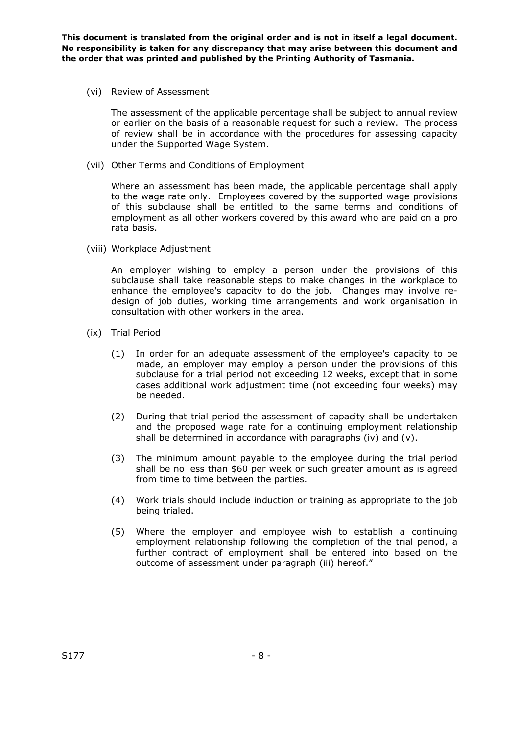(vi) Review of Assessment

The assessment of the applicable percentage shall be subject to annual review or earlier on the basis of a reasonable request for such a review. The process of review shall be in accordance with the procedures for assessing capacity under the Supported Wage System.

(vii) Other Terms and Conditions of Employment

Where an assessment has been made, the applicable percentage shall apply to the wage rate only. Employees covered by the supported wage provisions of this subclause shall be entitled to the same terms and conditions of employment as all other workers covered by this award who are paid on a pro rata basis.

(viii) Workplace Adjustment

An employer wishing to employ a person under the provisions of this subclause shall take reasonable steps to make changes in the workplace to enhance the employee's capacity to do the job. Changes may involve redesign of job duties, working time arrangements and work organisation in consultation with other workers in the area.

- (ix) Trial Period
	- (1) In order for an adequate assessment of the employee's capacity to be made, an employer may employ a person under the provisions of this subclause for a trial period not exceeding 12 weeks, except that in some cases additional work adjustment time (not exceeding four weeks) may be needed.
	- (2) During that trial period the assessment of capacity shall be undertaken and the proposed wage rate for a continuing employment relationship shall be determined in accordance with paragraphs (iv) and (v).
	- (3) The minimum amount payable to the employee during the trial period shall be no less than \$60 per week or such greater amount as is agreed from time to time between the parties.
	- (4) Work trials should include induction or training as appropriate to the job being trialed.
	- (5) Where the employer and employee wish to establish a continuing employment relationship following the completion of the trial period, a further contract of employment shall be entered into based on the outcome of assessment under paragraph (iii) hereof."